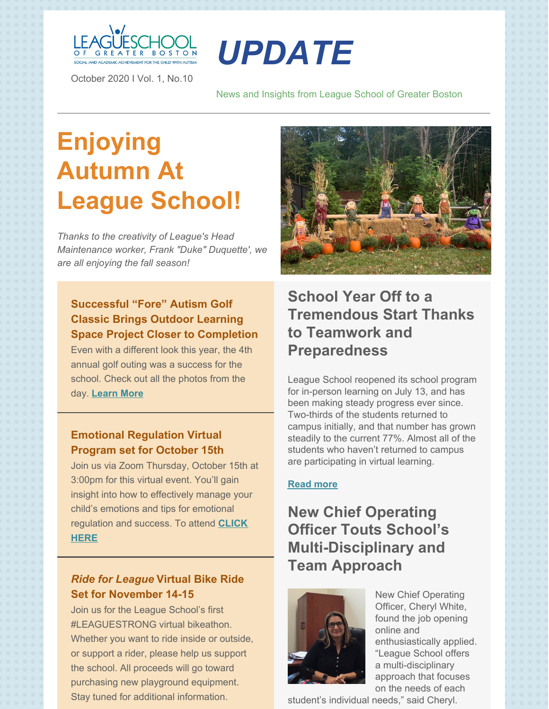

October 2020 I Vol. 1, No.10

# *UPDATE*

News and Insights from League School of Greater Boston

# **Enjoying Autumn At League School!**

*Thanks to the creativity of League's Head Maintenance worker, Frank "Duke" Duquette', we are all enjoying the fall season!*

# **Successful "Fore" Autism Golf Classic Brings Outdoor Learning Space Project Closer to [Completion](https://leagueschool.org/successful-fore-autism-golf-classic-brings-outdoor-learning-space-project-closer-to-completion/)**

Even with a different look this year, the 4th annual golf outing was a success for the school. Check out all the photos from the day. **[Learn](https://leagueschool.org/successful-fore-autism-golf-classic-brings-outdoor-learning-space-project-closer-to-completion/) More**

#### **Emotional Regulation Virtual Program set for October 15th**

Join us via Zoom Thursday, October 15th at 3:00pm for this virtual event. You'll gain insight into how to effectively manage your child's emotions and tips for emotional [regulation](https://forms.gle/dczewj9GQihhDcdEA) and success. To attend **CLICK HERE**

### *Ride for League* **Virtual Bike Ride Set for November 14-15**

Join us for the League School's first #LEAGUESTRONG virtual bikeathon. Whether you want to ride inside or outside, or support a rider, please help us support the school. All proceeds will go toward purchasing new playground equipment. Stay tuned for additional information.



# **School Year Off to a Tremendous Start Thanks to Teamwork and Preparedness**

League School reopened its school program for in-person learning on July 13, and has been making steady progress ever since. Two-thirds of the students returned to campus initially, and that number has grown steadily to the current 77%. Almost all of the students who haven't returned to campus are participating in virtual learning.

#### **Read more**

# **New Chief Operating Officer Touts School's Multi-Disciplinary and Team Approach**



New Chief Operating Officer, Cheryl White, found the job opening online and enthusiastically applied. "League School offers a multi-disciplinary approach that focuses on the needs of each

student's individual needs," said Cheryl.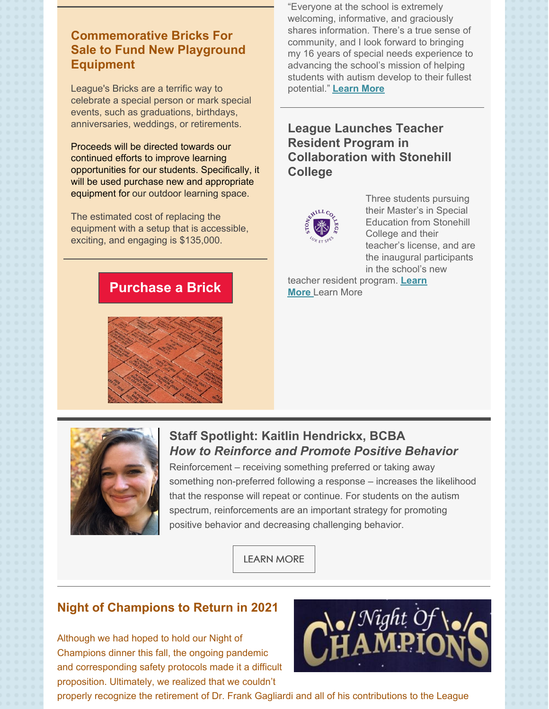## **Commemorative Bricks For Sale to Fund New Playground Equipment**

League's Bricks are a terrific way to celebrate a special person or mark special events, such as graduations, birthdays, anniversaries, weddings, or retirements.

Proceeds will be directed towards our continued efforts to improve learning opportunities for our students. Specifically, it will be used purchase new and appropriate equipment for our outdoor learning space.

The estimated cost of replacing the equipment with a setup that is accessible, exciting, and engaging is \$135,000.

"Everyone at the school is extremely welcoming, informative, and graciously shares information. There's a true sense of community, and I look forward to bringing my 16 years of special needs experience to advancing the school's mission of helping students with autism develop to their fullest potential." **[Learn](https://leagueschool.org/new-chief-operating-officer-touts-schools-multi-disciplinary-and-team-approach/) More**

### **League Launches Teacher Resident Program in Collaboration with Stonehill College**



Three students pursuing their Master's in Special Education from Stonehill College and their teacher's license, and are the inaugural participants in the school's new

teacher resident [program.](https://leagueschool.org/league-school-launches-teacher-resident-program-in-collaboration-with-stonehill-college/) **Learn More** Learn More







# **Staff Spotlight: Kaitlin Hendrickx, BCBA** *How to Reinforce and Promote Positive Behavior*

Reinforcement – receiving something preferred or taking away something non-preferred following a response – increases the likelihood that the response will repeat or continue. For students on the autism spectrum, reinforcements are an important strategy for promoting positive behavior and decreasing challenging behavior.

[LEARN](https://leagueschool.org/staff-spotlight-kait-hendrickx-bcba/) MORE

# **Night of Champions to Return in 2021**

Although we had hoped to hold our Night of Champions dinner this fall, the ongoing pandemic and corresponding safety protocols made it a difficult proposition. Ultimately, we realized that we couldn't



properly recognize the retirement of Dr. Frank Gagliardi and all of his contributions to the League